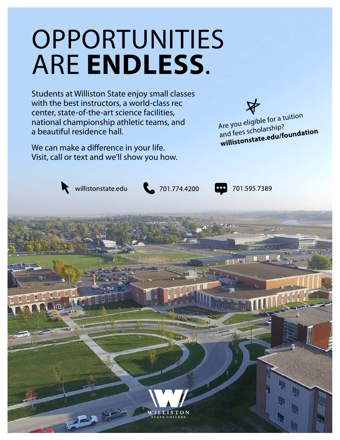# OPPORTUNITIES ARE **ENDLESS**.

Students at Williston State enjoy small classes with the best instructors, a world-class rec center, state-of-the-art science facilities, national championship athletic teams, and a beautiful residence hall.

We can make a difference in your life. Visit, call or text and we'll show you how.



Are you eligible for a tuition and fees scholarship? **willistonstate.edu/foundation**

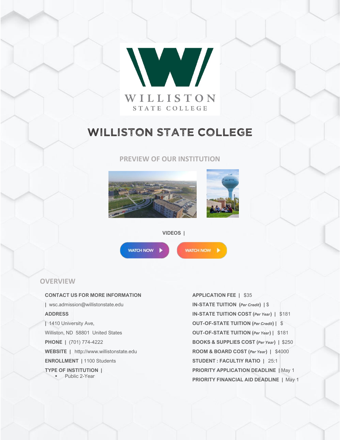

# WILLISTON STATE COLLEGE

### **PREVIEW OF OUR INSTITUTION**





**VIDEOS |**

**WATCH NOW** 

WATCH NOW |

## **OVERVIEW**

**CONTACT US FOR MORE INFORMATION |** wsc.admission@willistonstate.edu **ADDRESS |** 1410 University Ave, Williston, ND 58801 United States **PHONE |** (701) 774-4222 **WEBSITE |** http://www.willistonstate.edu **ENROLLMENT |** 1100 Students **TYPE OF INSTITUTION |** ▪ Public 2-Year

**APPLICATION FEE |** \$35 **IN-STATE TUITION (***Per Credit***) |** \$ **IN-STATE TUITION COST (***Per Year***) |** \$181 **OUT-OF-STATE TUITION (***Per Credit***) |** \$ **OUT-OF-STATE TUITION (***Per Year***) |** \$181 **BOOKS & SUPPLIES COST (***Per Year***) |** \$250 **ROOM & BOARD COST (***Per Year***) |** \$4000 **STUDENT : FACULTIY RATIO |** 25:1 **PRIORITY APPLICATION DEADLINE |** May 1 **PRIORITY FINANCIAL AID DEADLINE |** May 1